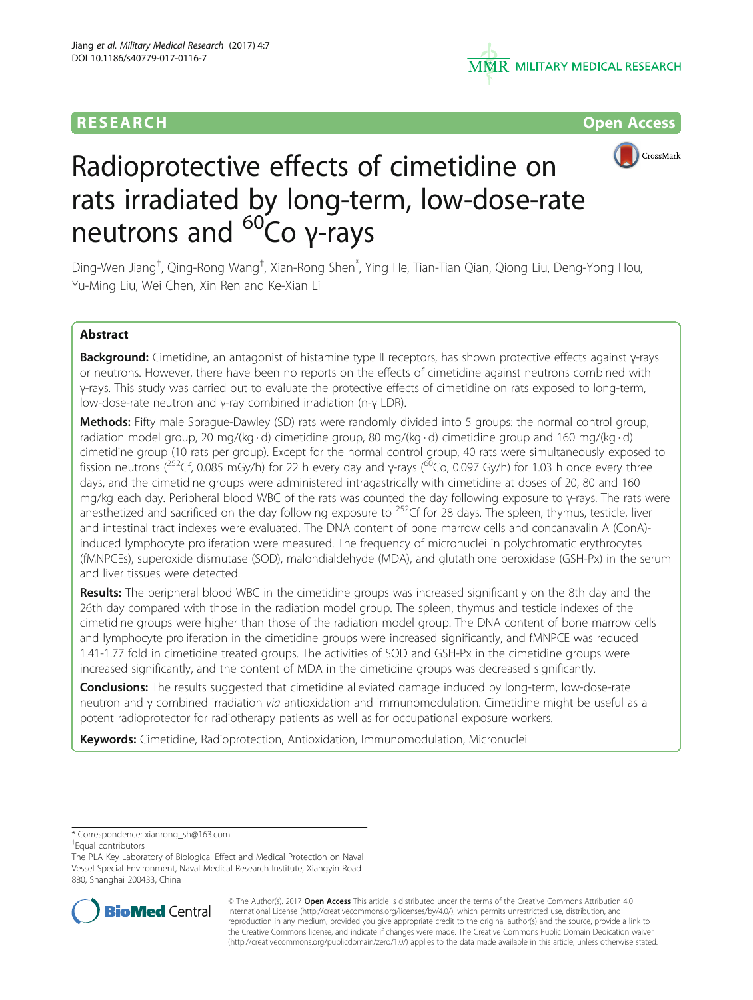# RESEARCH **RESEARCH CONSUMING ACCESS**





# Radioprotective effects of cimetidine on rats irradiated by long-term, low-dose-rate neutrons and <sup>60</sup>Co γ-rays

Ding-Wen Jiang<sup>†</sup>, Qing-Rong Wang<sup>†</sup>, Xian-Rong Shen<sup>\*</sup>, Ying He, Tian-Tian Qian, Qiong Liu, Deng-Yong Hou, Yu-Ming Liu, Wei Chen, Xin Ren and Ke-Xian Li

# Abstract

Background: Cimetidine, an antagonist of histamine type II receptors, has shown protective effects against γ-rays or neutrons. However, there have been no reports on the effects of cimetidine against neutrons combined with γ-rays. This study was carried out to evaluate the protective effects of cimetidine on rats exposed to long-term, low-dose-rate neutron and γ-ray combined irradiation (n-γ LDR).

Methods: Fifty male Sprague-Dawley (SD) rats were randomly divided into 5 groups: the normal control group, radiation model group, 20 mg/(kg · d) cimetidine group, 80 mg/(kg · d) cimetidine group and 160 mg/(kg · d) cimetidine group (10 rats per group). Except for the normal control group, 40 rats were simultaneously exposed to fission neutrons (<sup>252</sup>Cf, 0.085 mGy/h) for 22 h every day and γ-rays (<sup>60</sup>Co, 0.097 Gy/h) for 1.03 h once every three days, and the cimetidine groups were administered intragastrically with cimetidine at doses of 20, 80 and 160 mg/kg each day. Peripheral blood WBC of the rats was counted the day following exposure to γ-rays. The rats were anesthetized and sacrificed on the day following exposure to <sup>252</sup>Cf for 28 days. The spleen, thymus, testicle, liver and intestinal tract indexes were evaluated. The DNA content of bone marrow cells and concanavalin A (ConA) induced lymphocyte proliferation were measured. The frequency of micronuclei in polychromatic erythrocytes (fMNPCEs), superoxide dismutase (SOD), malondialdehyde (MDA), and glutathione peroxidase (GSH-Px) in the serum and liver tissues were detected.

Results: The peripheral blood WBC in the cimetidine groups was increased significantly on the 8th day and the 26th day compared with those in the radiation model group. The spleen, thymus and testicle indexes of the cimetidine groups were higher than those of the radiation model group. The DNA content of bone marrow cells and lymphocyte proliferation in the cimetidine groups were increased significantly, and fMNPCE was reduced 1.41-1.77 fold in cimetidine treated groups. The activities of SOD and GSH-Px in the cimetidine groups were increased significantly, and the content of MDA in the cimetidine groups was decreased significantly.

**Conclusions:** The results suggested that cimetidine alleviated damage induced by long-term, low-dose-rate neutron and γ combined irradiation via antioxidation and immunomodulation. Cimetidine might be useful as a potent radioprotector for radiotherapy patients as well as for occupational exposure workers.

Keywords: Cimetidine, Radioprotection, Antioxidation, Immunomodulation, Micronuclei

\* Correspondence: [xianrong\\_sh@163.com](mailto:xianrong_sh@163.com) †

Equal contributors

The PLA Key Laboratory of Biological Effect and Medical Protection on Naval Vessel Special Environment, Naval Medical Research Institute, Xiangyin Road 880, Shanghai 200433, China



© The Author(s). 2017 **Open Access** This article is distributed under the terms of the Creative Commons Attribution 4.0 International License [\(http://creativecommons.org/licenses/by/4.0/](http://creativecommons.org/licenses/by/4.0/)), which permits unrestricted use, distribution, and reproduction in any medium, provided you give appropriate credit to the original author(s) and the source, provide a link to the Creative Commons license, and indicate if changes were made. The Creative Commons Public Domain Dedication waiver [\(http://creativecommons.org/publicdomain/zero/1.0/](http://creativecommons.org/publicdomain/zero/1.0/)) applies to the data made available in this article, unless otherwise stated.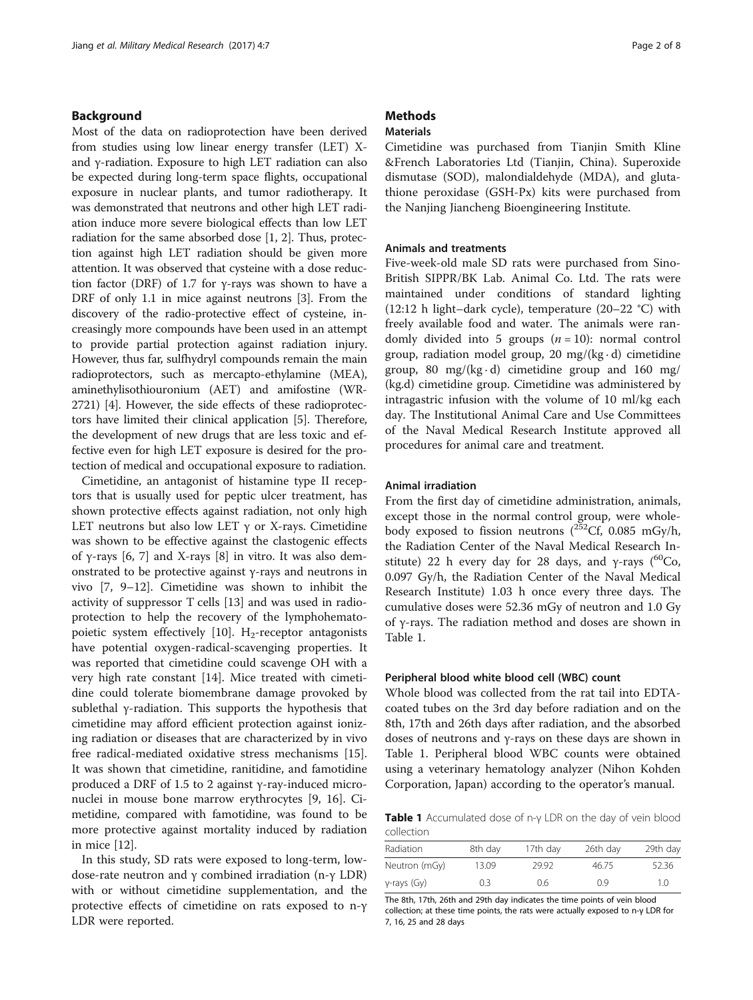# Background

Most of the data on radioprotection have been derived from studies using low linear energy transfer (LET) Xand γ-radiation. Exposure to high LET radiation can also be expected during long-term space flights, occupational exposure in nuclear plants, and tumor radiotherapy. It was demonstrated that neutrons and other high LET radiation induce more severe biological effects than low LET radiation for the same absorbed dose [[1](#page-6-0), [2](#page-6-0)]. Thus, protection against high LET radiation should be given more attention. It was observed that cysteine with a dose reduction factor (DRF) of 1.7 for γ-rays was shown to have a DRF of only 1.1 in mice against neutrons [[3\]](#page-6-0). From the discovery of the radio-protective effect of cysteine, increasingly more compounds have been used in an attempt to provide partial protection against radiation injury. However, thus far, sulfhydryl compounds remain the main radioprotectors, such as mercapto-ethylamine (MEA), aminethylisothiouronium (AET) and amifostine (WR-2721) [[4\]](#page-6-0). However, the side effects of these radioprotectors have limited their clinical application [\[5](#page-6-0)]. Therefore, the development of new drugs that are less toxic and effective even for high LET exposure is desired for the protection of medical and occupational exposure to radiation.

Cimetidine, an antagonist of histamine type II receptors that is usually used for peptic ulcer treatment, has shown protective effects against radiation, not only high LET neutrons but also low LET  $\gamma$  or X-rays. Cimetidine was shown to be effective against the clastogenic effects of γ-rays [\[6](#page-6-0), [7\]](#page-6-0) and X-rays [\[8](#page-6-0)] in vitro. It was also demonstrated to be protective against γ-rays and neutrons in vivo [\[7](#page-6-0), [9](#page-6-0)–[12\]](#page-6-0). Cimetidine was shown to inhibit the activity of suppressor T cells [\[13](#page-6-0)] and was used in radioprotection to help the recovery of the lymphohemato-poietic system effectively [\[10](#page-6-0)].  $H_2$ -receptor antagonists have potential oxygen-radical-scavenging properties. It was reported that cimetidine could scavenge OH with a very high rate constant [[14](#page-6-0)]. Mice treated with cimetidine could tolerate biomembrane damage provoked by sublethal γ-radiation. This supports the hypothesis that cimetidine may afford efficient protection against ionizing radiation or diseases that are characterized by in vivo free radical-mediated oxidative stress mechanisms [\[15](#page-6-0)]. It was shown that cimetidine, ranitidine, and famotidine produced a DRF of 1.5 to 2 against γ-ray-induced micronuclei in mouse bone marrow erythrocytes [[9, 16](#page-6-0)]. Cimetidine, compared with famotidine, was found to be more protective against mortality induced by radiation in mice [\[12](#page-6-0)].

In this study, SD rats were exposed to long-term, lowdose-rate neutron and γ combined irradiation (n-γ LDR) with or without cimetidine supplementation, and the protective effects of cimetidine on rats exposed to n-γ LDR were reported.

# **Methods**

# Materials

Cimetidine was purchased from Tianjin Smith Kline &French Laboratories Ltd (Tianjin, China). Superoxide dismutase (SOD), malondialdehyde (MDA), and glutathione peroxidase (GSH-Px) kits were purchased from the Nanjing Jiancheng Bioengineering Institute.

## Animals and treatments

Five-week-old male SD rats were purchased from Sino-British SIPPR/BK Lab. Animal Co. Ltd. The rats were maintained under conditions of standard lighting (12:12 h light–dark cycle), temperature (20–22 °C) with freely available food and water. The animals were randomly divided into 5 groups  $(n = 10)$ : normal control group, radiation model group, 20 mg/( $kg \cdot d$ ) cimetidine group, 80 mg/( $kg \cdot d$ ) cimetidine group and 160 mg/ (kg.d) cimetidine group. Cimetidine was administered by intragastric infusion with the volume of 10 ml/kg each day. The Institutional Animal Care and Use Committees of the Naval Medical Research Institute approved all procedures for animal care and treatment.

## Animal irradiation

From the first day of cimetidine administration, animals, except those in the normal control group, were wholebody exposed to fission neutrons  $(^{252}Cf, 0.085$  mGy/h, the Radiation Center of the Naval Medical Research Institute) 22 h every day for 28 days, and  $\gamma$ -rays (<sup>60</sup>Co, 0.097 Gy/h, the Radiation Center of the Naval Medical Research Institute) 1.03 h once every three days. The cumulative doses were 52.36 mGy of neutron and 1.0 Gy of γ-rays. The radiation method and doses are shown in Table 1.

## Peripheral blood white blood cell (WBC) count

Whole blood was collected from the rat tail into EDTAcoated tubes on the 3rd day before radiation and on the 8th, 17th and 26th days after radiation, and the absorbed doses of neutrons and γ-rays on these days are shown in Table 1. Peripheral blood WBC counts were obtained using a veterinary hematology analyzer (Nihon Kohden Corporation, Japan) according to the operator's manual.

Table 1 Accumulated dose of n-γ LDR on the day of vein blood collection

| Radiation      | 8th day | 17th day | 26th day | 29th day |
|----------------|---------|----------|----------|----------|
| Neutron (mGy)  | 13.09   | 29.92    | 46.75    | 52.36    |
| $y$ -rays (Gy) | 0.3     | 0.6      | 09       | 10       |

The 8th, 17th, 26th and 29th day indicates the time points of vein blood collection; at these time points, the rats were actually exposed to n-γ LDR for 7, 16, 25 and 28 days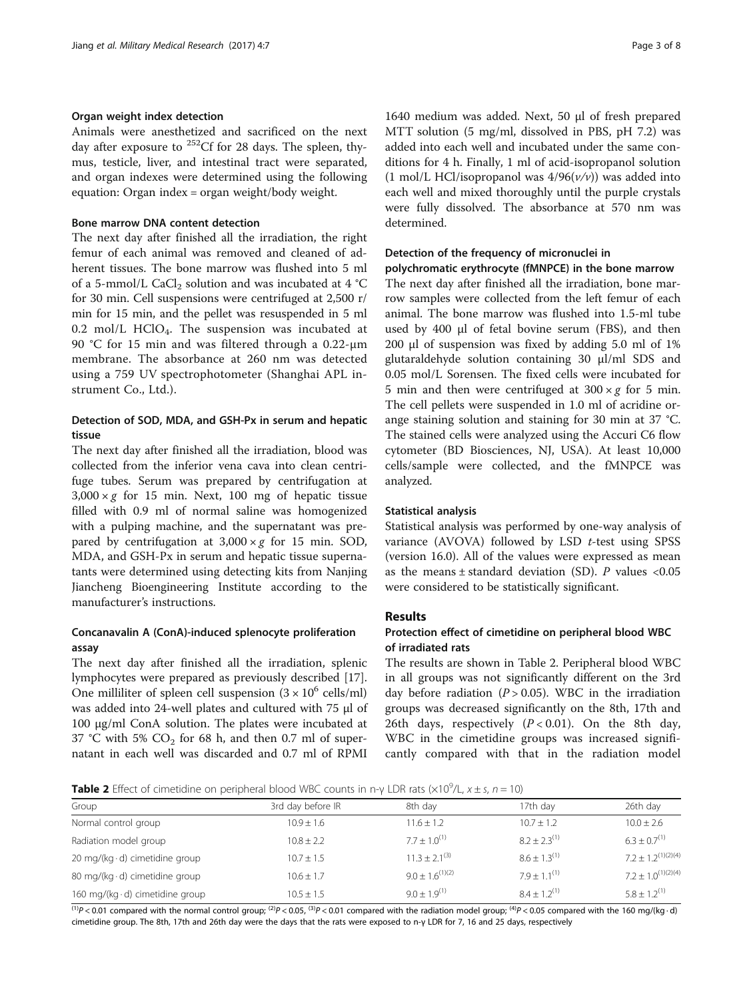# Organ weight index detection

Animals were anesthetized and sacrificed on the next day after exposure to  $^{252}$ Cf for 28 days. The spleen, thymus, testicle, liver, and intestinal tract were separated, and organ indexes were determined using the following equation: Organ index = organ weight/body weight.

## Bone marrow DNA content detection

The next day after finished all the irradiation, the right femur of each animal was removed and cleaned of adherent tissues. The bone marrow was flushed into 5 ml of a 5-mmol/L CaCl<sub>2</sub> solution and was incubated at  $4 °C$ for 30 min. Cell suspensions were centrifuged at 2,500 r/ min for 15 min, and the pellet was resuspended in 5 ml 0.2 mol/L HClO<sub>4</sub>. The suspension was incubated at 90 °C for 15 min and was filtered through a 0.22-μm membrane. The absorbance at 260 nm was detected using a 759 UV spectrophotometer (Shanghai APL instrument Co., Ltd.).

# Detection of SOD, MDA, and GSH-Px in serum and hepatic tissue

The next day after finished all the irradiation, blood was collected from the inferior vena cava into clean centrifuge tubes. Serum was prepared by centrifugation at  $3,000 \times g$  for 15 min. Next, 100 mg of hepatic tissue filled with 0.9 ml of normal saline was homogenized with a pulping machine, and the supernatant was prepared by centrifugation at  $3,000 \times g$  for 15 min. SOD, MDA, and GSH-Px in serum and hepatic tissue supernatants were determined using detecting kits from Nanjing Jiancheng Bioengineering Institute according to the manufacturer's instructions.

# Concanavalin A (ConA)-induced splenocyte proliferation assay

The next day after finished all the irradiation, splenic lymphocytes were prepared as previously described [\[17](#page-6-0)]. One milliliter of spleen cell suspension  $(3 \times 10^6 \text{ cells/ml})$ was added into 24-well plates and cultured with 75 μl of 100 μg/ml ConA solution. The plates were incubated at 37 °C with 5%  $CO<sub>2</sub>$  for 68 h, and then 0.7 ml of supernatant in each well was discarded and 0.7 ml of RPMI

1640 medium was added. Next, 50 μl of fresh prepared MTT solution (5 mg/ml, dissolved in PBS, pH 7.2) was added into each well and incubated under the same conditions for 4 h. Finally, 1 ml of acid-isopropanol solution (1 mol/L HCl/isopropanol was  $4/96(v/v)$ ) was added into each well and mixed thoroughly until the purple crystals were fully dissolved. The absorbance at 570 nm was determined.

# Detection of the frequency of micronuclei in

polychromatic erythrocyte (fMNPCE) in the bone marrow The next day after finished all the irradiation, bone marrow samples were collected from the left femur of each animal. The bone marrow was flushed into 1.5-ml tube used by 400 μl of fetal bovine serum (FBS), and then 200 μl of suspension was fixed by adding 5.0 ml of 1% glutaraldehyde solution containing 30 μl/ml SDS and 0.05 mol/L Sorensen. The fixed cells were incubated for 5 min and then were centrifuged at  $300 \times g$  for 5 min. The cell pellets were suspended in 1.0 ml of acridine orange staining solution and staining for 30 min at 37 °C. The stained cells were analyzed using the Accuri C6 flow cytometer (BD Biosciences, NJ, USA). At least 10,000 cells/sample were collected, and the fMNPCE was analyzed.

## Statistical analysis

Statistical analysis was performed by one-way analysis of variance (AVOVA) followed by LSD  $t$ -test using SPSS (version 16.0). All of the values were expressed as mean as the means  $\pm$  standard deviation (SD). P values <0.05 were considered to be statistically significant.

# Results

# Protection effect of cimetidine on peripheral blood WBC of irradiated rats

The results are shown in Table 2. Peripheral blood WBC in all groups was not significantly different on the 3rd day before radiation  $(P > 0.05)$ . WBC in the irradiation groups was decreased significantly on the 8th, 17th and 26th days, respectively  $(P < 0.01)$ . On the 8th day, WBC in the cimetidine groups was increased significantly compared with that in the radiation model

**Table 2** Effect of cimetidine on peripheral blood WBC counts in n-γ LDR rats ( $\times 10^9$ /L,  $x \pm s$ , n = 10)

| 3rd day before IR | 8th day              | 17th dav          | 26th day                |
|-------------------|----------------------|-------------------|-------------------------|
| $10.9 \pm 1.6$    | $11.6 \pm 1.2$       | $10.7 \pm 1.2$    | $10.0 \pm 2.6$          |
| $10.8 + 2.2$      | $7.7 + 1.0^{(1)}$    | $8.2 + 2.3^{(1)}$ | $6.3 + 0.7^{(1)}$       |
| $10.7 + 1.5$      | $11.3 + 2.1^{(3)}$   | $8.6 + 1.3^{(1)}$ | $7.2 + 1.2^{(1)(2)(4)}$ |
| $10.6 \pm 1.7$    | $9.0 + 1.6^{(1)(2)}$ | $7.9 + 1.1^{(1)}$ | $7.2 + 1.0^{(1)(2)(4)}$ |
| $10.5 + 1.5$      | $9.0 + 1.9^{(1)}$    | $8.4 + 1.2^{(1)}$ | $5.8 + 1.2^{(1)}$       |
|                   |                      |                   |                         |

(1)P < 0.01 compared with the normal control group;  $^{(2)}P < 0.05$ ,  $^{(3)}P < 0.01$  compared with the radiation model group;  $^{(4)}P < 0.05$  compared with the 160 mg/(kg · d) cimetidine group. The 8th, 17th and 26th day were the days that the rats were exposed to n-γ LDR for 7, 16 and 25 days, respectively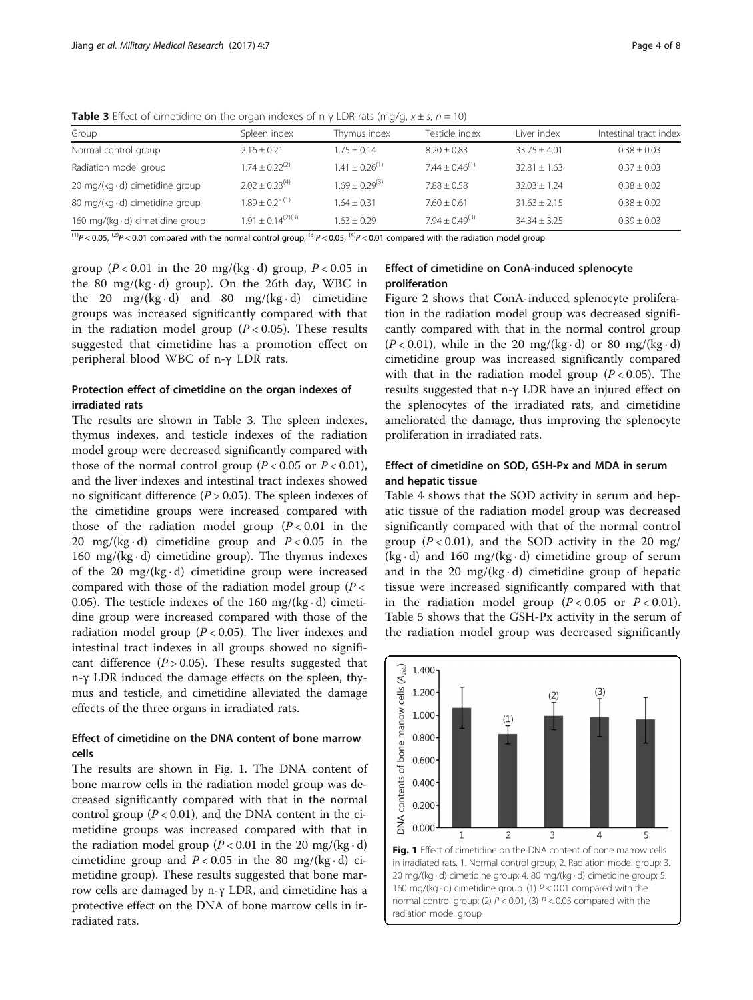| Group                                  | Spleen index         | Thymus index                                                 | Testicle index      | Liver index      | Intestinal tract index |
|----------------------------------------|----------------------|--------------------------------------------------------------|---------------------|------------------|------------------------|
| Normal control group                   | $2.16 + 0.21$        | $1.75 + 0.14$                                                | $8.20 + 0.83$       | $33.75 + 4.01$   | $0.38 \pm 0.03$        |
| Radiation model group                  | $1.74 + 0.22^{(2)}$  | $1.41 + 0.26^{(1)}$                                          | $7.44 + 0.46^{(1)}$ | $32.81 \pm 1.63$ | $0.37 \pm 0.03$        |
| 20 mg/(kg $\cdot$ d) cimetidine group  | $202 + 023^{(4)}$    | $1.69 + 0.29^{(3)}$                                          | $7.88 + 0.58$       | $32.03 + 1.24$   | $0.38 + 0.02$          |
| 80 mg/(kg $\cdot$ d) cimetidine group  | $1.89 + 0.21^{(1)}$  | $1.64 + 0.31$                                                | $7.60 + 0.61$       | $31.63 + 2.15$   | $0.38 + 0.02$          |
| 160 mg/(kg $\cdot$ d) cimetidine group | $191 + 014^{(2)(3)}$ | $1.63 + 0.29$                                                | $7.94 + 0.49^{(3)}$ | $34.34 + 3.25$   | $0.39 + 0.03$          |
| .                                      | $\cdots$             | $(3)$ $\sim$ $\sim$ $\sim$ $(4)$ $\sim$ $\sim$ $\sim$ $\sim$ | .<br>$\cdots$       | . .              |                        |

**Table 3** Effect of cimetidine on the organ indexes of n-γ LDR rats (mg/g,  $x \pm s$ ,  $n = 10$ )

 $^{(1)}P$  < 0.05,  $^{(2)}P$  < 0.01 compared with the normal control group;  $^{(3)}P$  < 0.05,  $^{(4)}P$  < 0.01 compared with the radiation model group

group ( $P < 0.01$  in the 20 mg/(kg $\cdot$ d) group,  $P < 0.05$  in the 80 mg/( $kg \cdot d$ ) group). On the 26th day, WBC in the 20 mg/(kg $\cdot$ d) and 80 mg/(kg $\cdot$ d) cimetidine groups was increased significantly compared with that in the radiation model group ( $P < 0.05$ ). These results suggested that cimetidine has a promotion effect on peripheral blood WBC of n-γ LDR rats.

# Protection effect of cimetidine on the organ indexes of irradiated rats

The results are shown in Table 3. The spleen indexes, thymus indexes, and testicle indexes of the radiation model group were decreased significantly compared with those of the normal control group  $(P < 0.05$  or  $P < 0.01$ ), and the liver indexes and intestinal tract indexes showed no significant difference ( $P > 0.05$ ). The spleen indexes of the cimetidine groups were increased compared with those of the radiation model group  $(P < 0.01$  in the 20 mg/(kg·d) cimetidine group and  $P < 0.05$  in the 160 mg/( $kg \cdot d$ ) cimetidine group). The thymus indexes of the 20 mg/(kg $\cdot$ d) cimetidine group were increased compared with those of the radiation model group ( $P <$ 0.05). The testicle indexes of the 160 mg/( $kg \cdot d$ ) cimetidine group were increased compared with those of the radiation model group ( $P < 0.05$ ). The liver indexes and intestinal tract indexes in all groups showed no significant difference  $(P > 0.05)$ . These results suggested that n-γ LDR induced the damage effects on the spleen, thymus and testicle, and cimetidine alleviated the damage effects of the three organs in irradiated rats.

# Effect of cimetidine on the DNA content of bone marrow cells

The results are shown in Fig. 1. The DNA content of bone marrow cells in the radiation model group was decreased significantly compared with that in the normal control group ( $P < 0.01$ ), and the DNA content in the cimetidine groups was increased compared with that in the radiation model group ( $P < 0.01$  in the 20 mg/(kg · d) cimetidine group and  $P < 0.05$  in the 80 mg/(kg $\cdot$ d) cimetidine group). These results suggested that bone marrow cells are damaged by n-γ LDR, and cimetidine has a protective effect on the DNA of bone marrow cells in irradiated rats.

# Effect of cimetidine on ConA-induced splenocyte proliferation

Figure [2](#page-4-0) shows that ConA-induced splenocyte proliferation in the radiation model group was decreased significantly compared with that in the normal control group  $(P < 0.01)$ , while in the 20 mg/(kg·d) or 80 mg/(kg·d) cimetidine group was increased significantly compared with that in the radiation model group  $(P < 0.05)$ . The results suggested that n-γ LDR have an injured effect on the splenocytes of the irradiated rats, and cimetidine ameliorated the damage, thus improving the splenocyte proliferation in irradiated rats.

# Effect of cimetidine on SOD, GSH-Px and MDA in serum and hepatic tissue

Table [4](#page-4-0) shows that the SOD activity in serum and hepatic tissue of the radiation model group was decreased significantly compared with that of the normal control group  $(P < 0.01)$ , and the SOD activity in the 20 mg/  $(kg \cdot d)$  and 160 mg/(kg $\cdot d$ ) cimetidine group of serum and in the 20 mg/( $kg \cdot d$ ) cimetidine group of hepatic tissue were increased significantly compared with that in the radiation model group  $(P < 0.05$  or  $P < 0.01$ ). Table [5](#page-4-0) shows that the GSH-Px activity in the serum of the radiation model group was decreased significantly

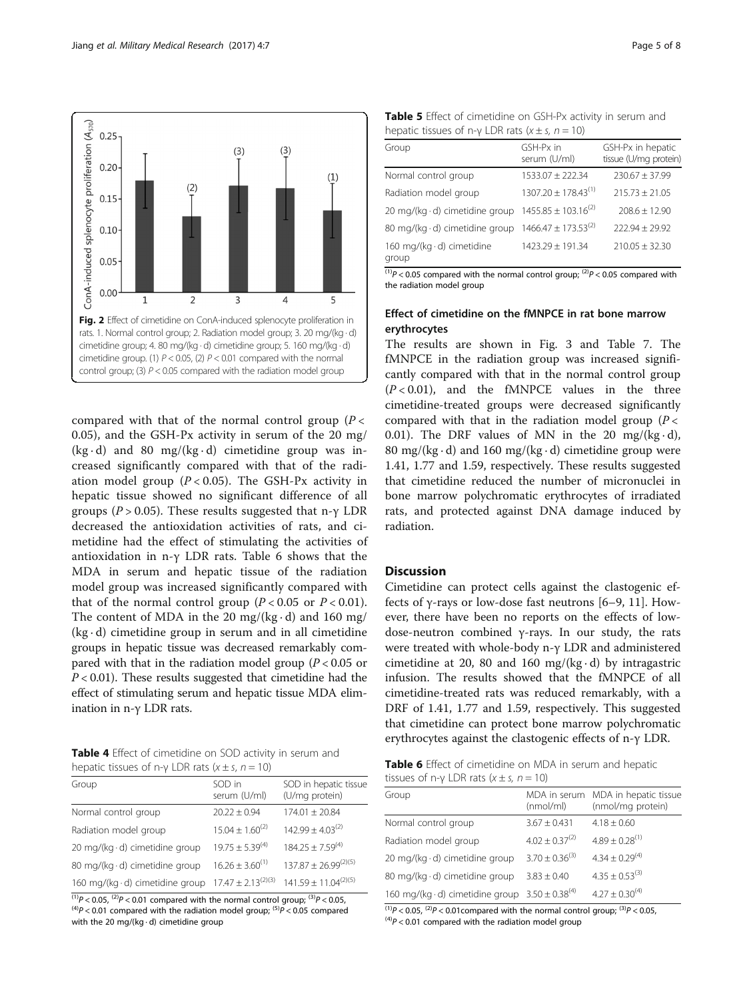<span id="page-4-0"></span>

compared with that of the normal control group  $(P <$ 0.05), and the GSH-Px activity in serum of the 20 mg/  $(kg \cdot d)$  and 80 mg/(kg $\cdot d$ ) cimetidine group was increased significantly compared with that of the radiation model group ( $P < 0.05$ ). The GSH-Px activity in hepatic tissue showed no significant difference of all groups ( $P > 0.05$ ). These results suggested that n-γ LDR decreased the antioxidation activities of rats, and cimetidine had the effect of stimulating the activities of antioxidation in n-γ LDR rats. Table 6 shows that the MDA in serum and hepatic tissue of the radiation model group was increased significantly compared with that of the normal control group  $(P < 0.05$  or  $P < 0.01$ ). The content of MDA in the 20 mg/( $kg \cdot d$ ) and 160 mg/  $(kg \cdot d)$  cimetidine group in serum and in all cimetidine groups in hepatic tissue was decreased remarkably compared with that in the radiation model group ( $P < 0.05$  or  $P < 0.01$ ). These results suggested that cimetidine had the effect of stimulating serum and hepatic tissue MDA elimination in n-γ LDR rats.

Table 4 Effect of cimetidine on SOD activity in serum and hepatic tissues of n-γ LDR rats ( $x \pm s$ , n = 10)

| Group                                  | SOD in<br>serum (U/ml)  | SOD in hepatic tissue<br>(U/mg protein) |
|----------------------------------------|-------------------------|-----------------------------------------|
| Normal control group                   | $20.22 + 0.94$          | $174.01 \pm 20.84$                      |
| Radiation model group                  | $15.04 + 1.60^{(2)}$    | $142.99 + 4.03^{(2)}$                   |
| 20 mg/(kg $\cdot$ d) cimetidine group  | $19.75 + 5.39^{(4)}$    | $184.25 \pm 7.59^{(4)}$                 |
| 80 mg/(kg · d) cimetidine group        | $16.26 + 3.60^{(1)}$    | $137.87 \pm 26.99^{(2)(5)}$             |
| 160 mg/(kg $\cdot$ d) cimetidine group | $17.47 + 2.13^{(2)(3)}$ | $141.59 \pm 11.04^{(2)(5)}$             |

 $^{(1)}P$  < 0.05, <sup>(2)</sup>P < 0.01 compared with the normal control group; <sup>(3)</sup>P < 0.05, (4)P < 0.01 compared with the radiation model group; <sup>(5)</sup>P < 0.05 compared with the 20 mg/(kg · d) cimetidine group

| <b>Table 5</b> Effect of cimetidine on GSH-Px activity in serum and |  |  |  |  |  |
|---------------------------------------------------------------------|--|--|--|--|--|
| hepatic tissues of n-y LDR rats ( $x \pm s$ , $n = 10$ )            |  |  |  |  |  |

| Group                                 | GSH-Px in<br>serum (U/ml)  | GSH-Px in hepatic<br>tissue (U/mg protein) |  |  |  |  |
|---------------------------------------|----------------------------|--------------------------------------------|--|--|--|--|
| Normal control group                  | $1533.07 \pm 222.34$       | $230.67 + 37.99$                           |  |  |  |  |
| Radiation model group                 | $1307.20 + 178.43^{(1)}$   | $215.73 + 21.05$                           |  |  |  |  |
| 20 mg/(kg $\cdot$ d) cimetidine group | $1455.85 \pm 103.16^{(2)}$ | $708.6 + 12.90$                            |  |  |  |  |
| 80 mg/(kg · d) cimetidine group       | $1466.47 \pm 173.53^{(2)}$ | $222.94 \pm 29.92$                         |  |  |  |  |
| 160 mg/(kg · d) cimetidine<br>group   | 1423.29 ± 191.34           | $210.05 \pm 32.30$                         |  |  |  |  |

 $(1)$  $P$  < 0.05 compared with the normal control group;  $(2)P$  < 0.05 compared with the radiation model group

# Effect of cimetidine on the fMNPCE in rat bone marrow erythrocytes

The results are shown in Fig. [3](#page-5-0) and Table [7.](#page-5-0) The fMNPCE in the radiation group was increased significantly compared with that in the normal control group  $(P<0.01)$ , and the fMNPCE values in the three cimetidine-treated groups were decreased significantly compared with that in the radiation model group  $(P <$ 0.01). The DRF values of MN in the 20 mg/( $kg \cdot d$ ), 80 mg/(kg $\cdot$ d) and 160 mg/(kg $\cdot$ d) cimetidine group were 1.41, 1.77 and 1.59, respectively. These results suggested that cimetidine reduced the number of micronuclei in bone marrow polychromatic erythrocytes of irradiated rats, and protected against DNA damage induced by radiation.

# **Discussion**

Cimetidine can protect cells against the clastogenic effects of γ-rays or low-dose fast neutrons [\[6](#page-6-0)–[9](#page-6-0), [11](#page-6-0)]. However, there have been no reports on the effects of lowdose-neutron combined γ-rays. In our study, the rats were treated with whole-body n-γ LDR and administered cimetidine at 20, 80 and 160 mg/( $kg \cdot d$ ) by intragastric infusion. The results showed that the fMNPCE of all cimetidine-treated rats was reduced remarkably, with a DRF of 1.41, 1.77 and 1.59, respectively. This suggested that cimetidine can protect bone marrow polychromatic erythrocytes against the clastogenic effects of n-γ LDR.

Table 6 Effect of cimetidine on MDA in serum and hepatic tissues of n-γ LDR rats  $(x \pm s, n = 10)$ 

| Group                                                | (mmol/ml)             | MDA in serum MDA in hepatic tissue<br>(nmol/mg protein) |
|------------------------------------------------------|-----------------------|---------------------------------------------------------|
| Normal control group                                 | $3.67 + 0.431$        | $4.18 \pm 0.60$                                         |
| Radiation model group                                | $4.02 \pm 0.37^{(2)}$ | $4.89 \pm 0.28^{(1)}$                                   |
| 20 mg/(kg $\cdot$ d) cimetidine group                | $3.70 + 0.36^{(3)}$   | $4.34 \pm 0.29^{(4)}$                                   |
| 80 mg/(kg · d) cimetidine group                      | $3.83 + 0.40$         | $4.35 + 0.53^{(3)}$                                     |
| 160 mg/(kg·d) cimetidine group $3.50 \pm 0.38^{(4)}$ |                       | $4.27 \pm 0.30^{(4)}$                                   |

 $^{(1)}P$  < 0.05,  $^{(2)}P$  < 0.01compared with the normal control group;  $^{(3)}P$  < 0.05,  $^{(4)}P$  < 0.01 compared with the radiation model group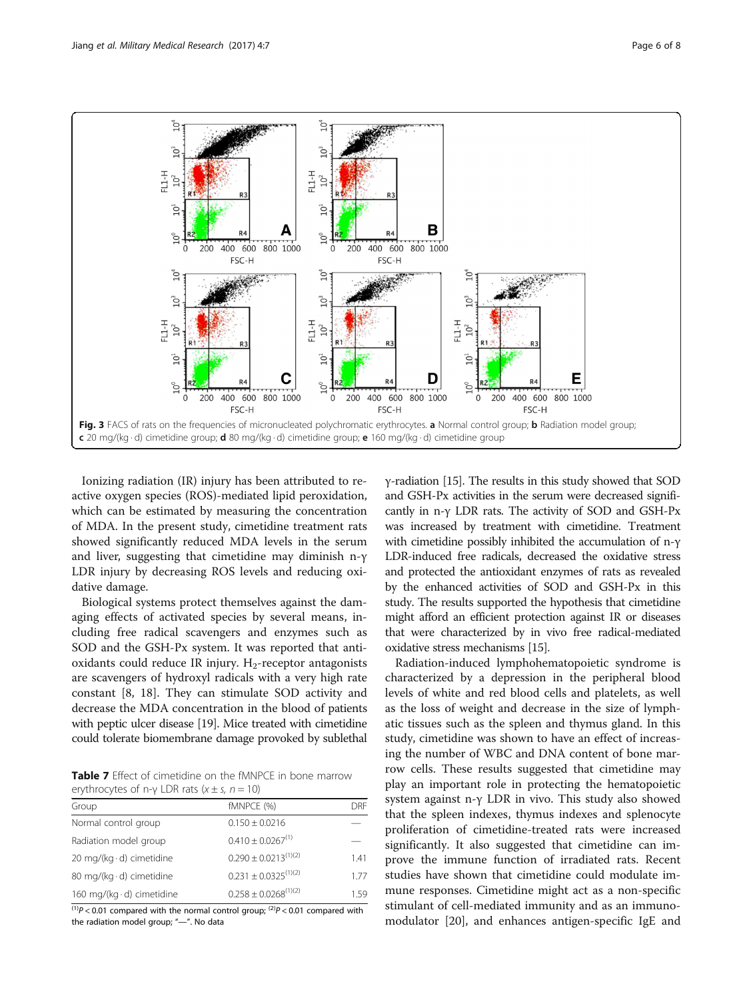<span id="page-5-0"></span>

Ionizing radiation (IR) injury has been attributed to reactive oxygen species (ROS)-mediated lipid peroxidation, which can be estimated by measuring the concentration of MDA. In the present study, cimetidine treatment rats showed significantly reduced MDA levels in the serum and liver, suggesting that cimetidine may diminish n-γ LDR injury by decreasing ROS levels and reducing oxidative damage.

Biological systems protect themselves against the damaging effects of activated species by several means, including free radical scavengers and enzymes such as SOD and the GSH-Px system. It was reported that antioxidants could reduce IR injury.  $H_2$ -receptor antagonists are scavengers of hydroxyl radicals with a very high rate constant [\[8](#page-6-0), [18\]](#page-6-0). They can stimulate SOD activity and decrease the MDA concentration in the blood of patients with peptic ulcer disease [\[19\]](#page-7-0). Mice treated with cimetidine could tolerate biomembrane damage provoked by sublethal

Table 7 Effect of cimetidine on the fMNPCE in bone marrow erythrocytes of n-γ LDR rats  $(x \pm s, n = 10)$ 

| Group                            | fMNPCE (%)                  | DRF  |
|----------------------------------|-----------------------------|------|
| Normal control group             | $0.150 \pm 0.0216$          |      |
| Radiation model group            | $0.410 \pm 0.0267^{(1)}$    |      |
| 20 mg/(kg $\cdot$ d) cimetidine  | $0.290 \pm 0.0213^{(1)(2)}$ | 141  |
| 80 mg/(kg $\cdot$ d) cimetidine  | $0.231 \pm 0.0325^{(1)(2)}$ | 1.77 |
| 160 mg/(kg $\cdot$ d) cimetidine | $0.258 \pm 0.0268^{(1)(2)}$ | 1.59 |

 $^{(1)}P$  < 0.01 compared with the normal control group;  $^{(2)}P$  < 0.01 compared with the radiation model group; "—". No data

γ-radiation [\[15\]](#page-6-0). The results in this study showed that SOD and GSH-Px activities in the serum were decreased significantly in n-γ LDR rats. The activity of SOD and GSH-Px was increased by treatment with cimetidine. Treatment with cimetidine possibly inhibited the accumulation of n-γ LDR-induced free radicals, decreased the oxidative stress and protected the antioxidant enzymes of rats as revealed by the enhanced activities of SOD and GSH-Px in this study. The results supported the hypothesis that cimetidine might afford an efficient protection against IR or diseases that were characterized by in vivo free radical-mediated oxidative stress mechanisms [[15](#page-6-0)].

Radiation-induced lymphohematopoietic syndrome is characterized by a depression in the peripheral blood levels of white and red blood cells and platelets, as well as the loss of weight and decrease in the size of lymphatic tissues such as the spleen and thymus gland. In this study, cimetidine was shown to have an effect of increasing the number of WBC and DNA content of bone marrow cells. These results suggested that cimetidine may play an important role in protecting the hematopoietic system against n-γ LDR in vivo. This study also showed that the spleen indexes, thymus indexes and splenocyte proliferation of cimetidine-treated rats were increased significantly. It also suggested that cimetidine can improve the immune function of irradiated rats. Recent studies have shown that cimetidine could modulate immune responses. Cimetidine might act as a non-specific stimulant of cell-mediated immunity and as an immunomodulator [\[20](#page-7-0)], and enhances antigen-specific IgE and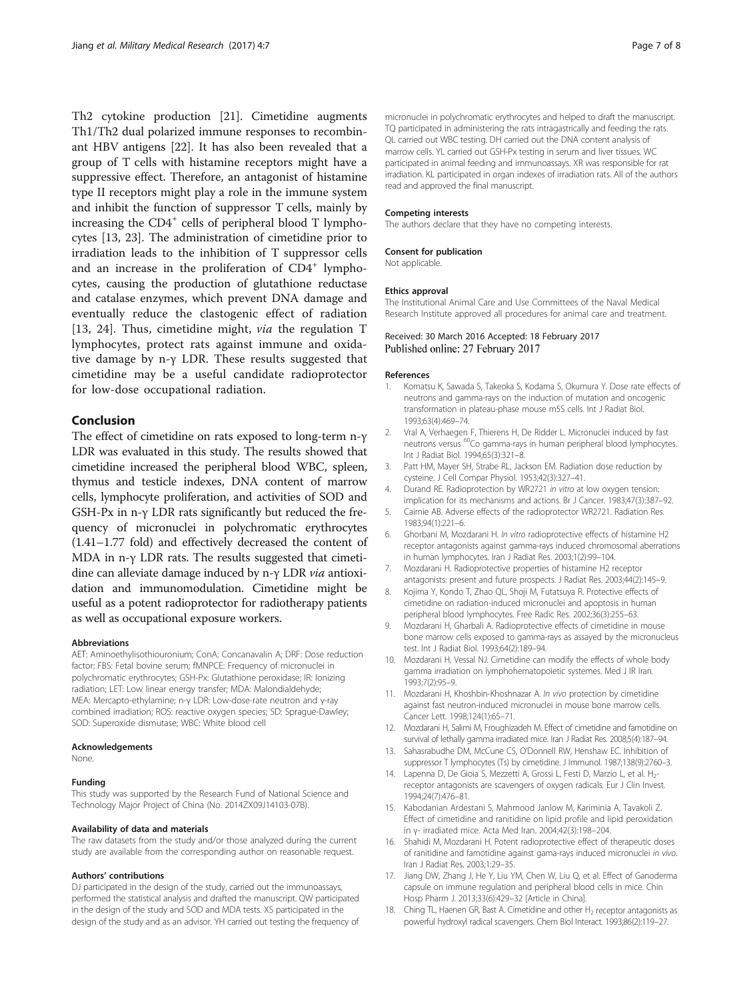<span id="page-6-0"></span>Th2 cytokine production [[21\]](#page-7-0). Cimetidine augments Th1/Th2 dual polarized immune responses to recombinant HBV antigens [\[22\]](#page-7-0). It has also been revealed that a group of T cells with histamine receptors might have a suppressive effect. Therefore, an antagonist of histamine type II receptors might play a role in the immune system and inhibit the function of suppressor T cells, mainly by increasing the  $CD4^+$  cells of peripheral blood T lymphocytes [13, [23\]](#page-7-0). The administration of cimetidine prior to irradiation leads to the inhibition of T suppressor cells and an increase in the proliferation of CD4<sup>+</sup> lymphocytes, causing the production of glutathione reductase and catalase enzymes, which prevent DNA damage and eventually reduce the clastogenic effect of radiation [13, [24\]](#page-7-0). Thus, cimetidine might, *via* the regulation T lymphocytes, protect rats against immune and oxidative damage by n-γ LDR. These results suggested that cimetidine may be a useful candidate radioprotector for low-dose occupational radiation.

# Conclusion

The effect of cimetidine on rats exposed to long-term n-γ LDR was evaluated in this study. The results showed that cimetidine increased the peripheral blood WBC, spleen, thymus and testicle indexes, DNA content of marrow cells, lymphocyte proliferation, and activities of SOD and GSH-Px in n-γ LDR rats significantly but reduced the frequency of micronuclei in polychromatic erythrocytes (1.41–1.77 fold) and effectively decreased the content of MDA in n-γ LDR rats. The results suggested that cimetidine can alleviate damage induced by n-<sup>γ</sup> LDR via antioxidation and immunomodulation. Cimetidine might be useful as a potent radioprotector for radiotherapy patients as well as occupational exposure workers.

## Abbreviations

AET: Aminoethylisothiouronium; ConA: Concanavalin A; DRF: Dose reduction factor; FBS: Fetal bovine serum; fMNPCE: Frequency of micronuclei in polychromatic erythrocytes; GSH-Px: Glutathione peroxidase; IR: Ionizing radiation; LET: Low linear energy transfer; MDA: Malondialdehyde; MEA: Mercapto-ethylamine; n-γ LDR: Low-dose-rate neutron and γ-ray combined irradiation; ROS: reactive oxygen species; SD: Sprague-Dawley; SOD: Superoxide dismutase; WBC: White blood cell

## Acknowledgements

None.

#### Funding

This study was supported by the Research Fund of National Science and Technology Major Project of China (No. 2014ZX09J14103-07B).

#### Availability of data and materials

The raw datasets from the study and/or those analyzed during the current study are available from the corresponding author on reasonable request.

## Authors' contributions

DJ participated in the design of the study, carried out the immunoassays, performed the statistical analysis and drafted the manuscript. QW participated in the design of the study and SOD and MDA tests. XS participated in the design of the study and as an advisor. YH carried out testing the frequency of

micronuclei in polychromatic erythrocytes and helped to draft the manuscript. TQ participated in administering the rats intragastrically and feeding the rats. QL carried out WBC testing. DH carried out the DNA content analysis of marrow cells. YL carried out GSH-Px testing in serum and liver tissues. WC participated in animal feeding and immunoassays. XR was responsible for rat irradiation. KL participated in organ indexes of irradiation rats. All of the authors read and approved the final manuscript.

## Competing interests

The authors declare that they have no competing interests.

#### Consent for publication

Not applicable.

#### Ethics approval

The Institutional Animal Care and Use Committees of the Naval Medical Research Institute approved all procedures for animal care and treatment.

## Received: 30 March 2016 Accepted: 18 February 2017 Published online: 27 February 2017

#### References

- 1. Komatsu K, Sawada S, Takeoka S, Kodama S, Okumura Y. Dose rate effects of neutrons and gamma-rays on the induction of mutation and oncogenic transformation in plateau-phase mouse m5S cells. Int J Radiat Biol. 1993;63(4):469–74.
- 2. Vral A, Verhaegen F, Thierens H, De Ridder L. Micronuclei induced by fast neutrons versus 60Co gamma-rays in human peripheral blood lymphocytes. Int J Radiat Biol. 1994;65(3):321–8.
- 3. Patt HM, Mayer SH, Strabe RL, Jackson EM. Radiation dose reduction by cysteine. J Cell Compar Physiol. 1953;42(3):327–41.
- 4. Durand RE. Radioprotection by WR2721 in vitro at low oxygen tension: implication for its mechanisms and actions. Br J Cancer. 1983;47(3):387–92.
- 5. Cairnie AB. Adverse effects of the radioprotector WR2721. Radiation Res. 1983;94(1):221–6.
- 6. Ghorbani M, Mozdarani H. In vitro radioprotective effects of histamine H2 receptor antagonists against gamma-rays induced chromosomal aberrations in human lymphocytes. Iran J Radiat Res. 2003;1(2):99–104.
- 7. Mozdarani H. Radioprotective properties of histamine H2 receptor antagonists: present and future prospects. J Radiat Res. 2003;44(2):145–9.
- 8. Kojima Y, Kondo T, Zhao QL, Shoji M, Futatsuya R. Protective effects of cimetidine on radiation-induced micronuclei and apoptosis in human peripheral blood lymphocytes. Free Radic Res. 2002;36(3):255–63.
- 9. Mozdarani H, Gharbali A. Radioprotective effects of cimetidine in mouse bone marrow cells exposed to gamma-rays as assayed by the micronucleus test. Int J Radiat Biol. 1993;64(2):189–94.
- 10. Mozdarani H, Vessal NJ. Cimetidine can modify the effects of whole body gamma irradiation on lymphohematopoietic systemes. Med J IR Iran. 1993;7(2):95–9.
- 11. Mozdarani H, Khoshbin-Khoshnazar A. In vivo protection by cimetidine against fast neutron-induced micronuclei in mouse bone marrow cells. Cancer Lett. 1998;124(1):65–71.
- 12. Mozdarani H, Salimi M, Froughizadeh M. Effect of cimetidine and famotidine on survival of lethally gamma irradiated mice. Iran J Radiat Res. 2008;5(4):187–94.
- 13. Sahasrabudhe DM, McCune CS, O'Donnell RW, Henshaw EC. Inhibition of suppressor T lymphocytes (Ts) by cimetidine. J Immunol. 1987;138(9):2760–3.
- 14. Lapenna D, De Gioia S, Mezzetti A, Grossi L, Festi D, Marzio L, et al. H<sub>2</sub>receptor antagonists are scavengers of oxygen radicals. Eur J Clin Invest. 1994;24(7):476–81.
- 15. Kabodanian Ardestani S, Mahmood Janlow M, Kariminia A, Tavakoli Z. Effect of cimetidine and ranitidine on lipid profile and lipid peroxidation in γ- irradiated mice. Acta Med Iran. 2004;42(3):198–204.
- 16. Shahidi M, Mozdarani H. Potent radioprotective effect of therapeutic doses of ranitidine and famotidine against gama-rays induced micronuclei in vivo. Iran J Radiat Res. 2003;1:29–35.
- 17. Jiang DW, Zhang J, He Y, Liu YM, Chen W, Liu Q, et al. Effect of Ganoderma capsule on immune regulation and peripheral blood cells in mice. Chin Hosp Pharm J. 2013;33(6):429–32 [Article in China].
- 18. Ching TL, Haenen GR, Bast A. Cimetidine and other H<sub>2</sub> receptor antagonists as powerful hydroxyl radical scavengers. Chem Biol Interact. 1993;86(2):119–27.